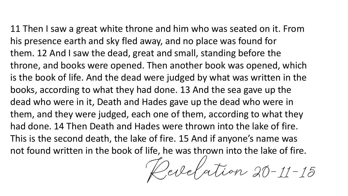11 Then I saw a great white throne and him who was seated on it. From his presence earth and sky fled away, and no place was found for them. 12 And I saw the dead, great and small, standing before the throne, and books were opened. Then another book was opened, which is the book of life. And the dead were judged by what was written in the books, according to what they had done. 13 And the sea gave up the dead who were in it, Death and Hades gave up the dead who were in them, and they were judged, each one of them, according to what they had done. 14 Then Death and Hades were thrown into the lake of fire. This is the second death, the lake of fire. 15 And if anyone's name was not found written in the book of life, he was thrown into the lake of fire.

Perelation 20-11-15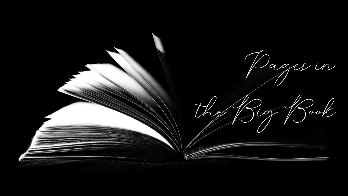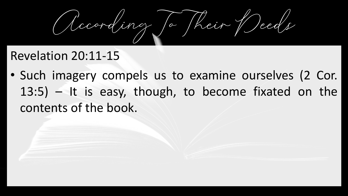According To Their Deeds

## Revelation 20:11-15

• Such imagery compels us to examine ourselves (2 Cor. 13:5) – It is easy, though, to become fixated on the contents of the book.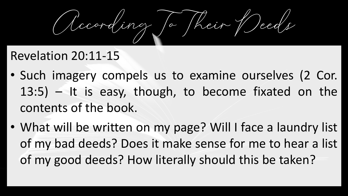According To Their Deeds

## Revelation 20:11-15

- Such imagery compels us to examine ourselves (2 Cor. 13:5) – It is easy, though, to become fixated on the contents of the book.
- What will be written on my page? Will I face a laundry list of my bad deeds? Does it make sense for me to hear a list of my good deeds? How literally should this be taken?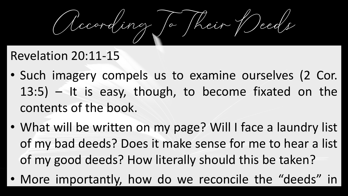According To Their Deeds

## Revelation 20:11-15

- Such imagery compels us to examine ourselves (2 Cor. 13:5) – It is easy, though, to become fixated on the contents of the book.
- What will be written on my page? Will I face a laundry list of my bad deeds? Does it make sense for me to hear a list of my good deeds? How literally should this be taken?
- More importantly, how do we reconcile the "deeds" in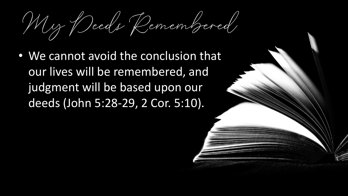My Deeds Remembered

• We cannot avoid the conclusion that our lives will be remembered, and judgment will be based upon our deeds (John 5:28-29, 2 Cor. 5:10).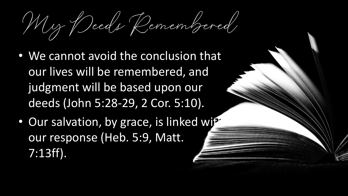My Deeds Remembered

- We cannot avoid the conclusion that our lives will be remembered, and judgment will be based upon our deeds (John 5:28-29, 2 Cor. 5:10).
- Our salvation, by grace, is linked with our response (Heb. 5:9, Matt. 7:13ff).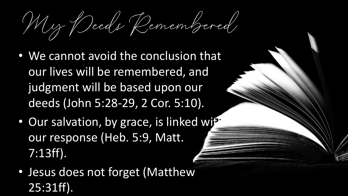My Deeds Remembered

- We cannot avoid the conclusion that our lives will be remembered, and judgment will be based upon our deeds (John 5:28-29, 2 Cor. 5:10).
- Our salvation, by grace, is linked with our response (Heb. 5:9, Matt. 7:13ff).
- Jesus does not forget (Matthew 25:31ff).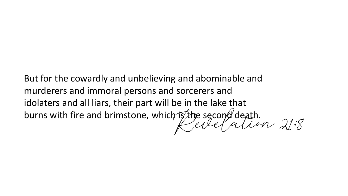ristine second death.<br>Kelle Calion 21:8 But for the cowardly and unbelieving and abominable and murderers and immoral persons and sorcerers and idolaters and all liars, their part will be in the lake that burns with fire and brimstone, which is the second death.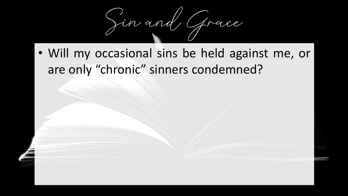

• Will my occasional sins be held against me, or are only "chronic" sinners condemned?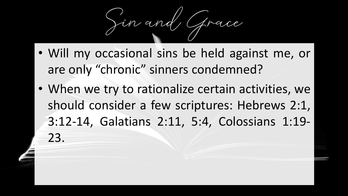Jin and

- Will my occasional sins be held against me, or are only "chronic" sinners condemned?
- When we try to rationalize certain activities, we should consider a few scriptures: Hebrews 2:1, 3:12-14, Galatians 2:11, 5:4, Colossians 1:19- 23.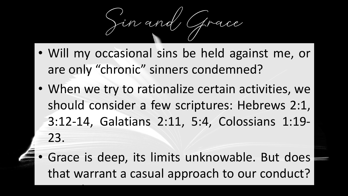$\sum n$  and

- Will my occasional sins be held against me, or are only "chronic" sinners condemned?
- When we try to rationalize certain activities, we should consider a few scriptures: Hebrews 2:1, 3:12-14, Galatians 2:11, 5:4, Colossians 1:19- 23.
- Grace is deep, its limits unknowable. But does that warrant a casual approach to our conduct?

Consider Romans 6:1-2, 12-15.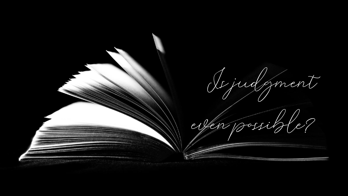Is judgment even possible?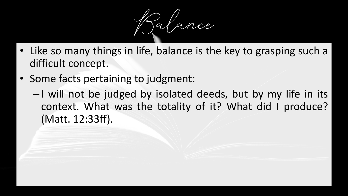

- Like so many things in life, balance is the key to grasping such a difficult concept.
- Some facts pertaining to judgment:
	- I will not be judged by isolated deeds, but by my life in its context. What was the totality of it? What did I produce? (Matt. 12:33ff).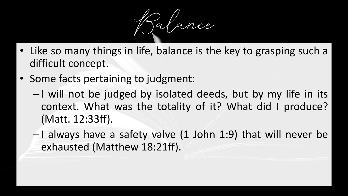Balance

- Like so many things in life, balance is the key to grasping such a difficult concept.
- Some facts pertaining to judgment:
	- I will not be judged by isolated deeds, but by my life in its context. What was the totality of it? What did I produce? (Matt. 12:33ff).
	- $-1$  always have a safety valve (1 John 1:9) that will never be exhausted (Matthew 18:21ff).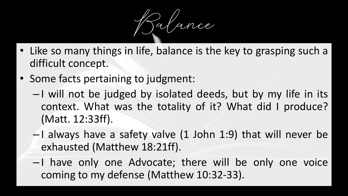Balance

- Like so many things in life, balance is the key to grasping such a difficult concept.
- Some facts pertaining to judgment:
	- I will not be judged by isolated deeds, but by my life in its context. What was the totality of it? What did I produce? (Matt. 12:33ff).
	- $-1$  always have a safety valve (1 John 1:9) that will never be exhausted (Matthew 18:21ff).
	- I have only one Advocate; there will be only one voice coming to my defense (Matthew 10:32-33).